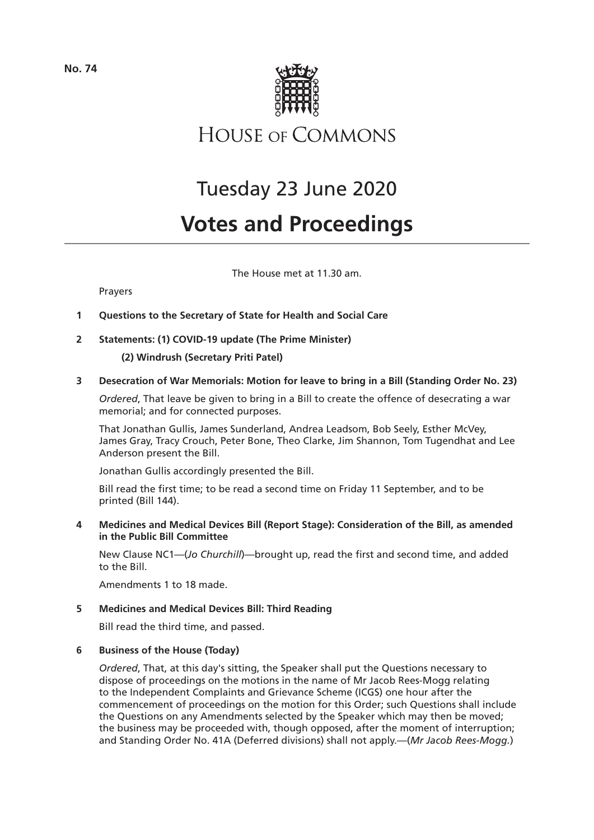

**HOUSE OF COMMONS** 

# Tuesday 23 June 2020

# **Votes and Proceedings**

The House met at 11.30 am.

## Prayers

- **1 Questions to the Secretary of State for Health and Social Care**
- **2 Statements: (1) COVID-19 update (The Prime Minister)**

**(2) Windrush (Secretary Priti Patel)**

## **3 Desecration of War Memorials: Motion for leave to bring in a Bill (Standing Order No. 23)**

*Ordered*, That leave be given to bring in a Bill to create the offence of desecrating a war memorial; and for connected purposes.

That Jonathan Gullis, James Sunderland, Andrea Leadsom, Bob Seely, Esther McVey, James Gray, Tracy Crouch, Peter Bone, Theo Clarke, Jim Shannon, Tom Tugendhat and Lee Anderson present the Bill.

Jonathan Gullis accordingly presented the Bill.

Bill read the first time; to be read a second time on Friday 11 September, and to be printed (Bill 144).

## **4 Medicines and Medical Devices Bill (Report Stage): Consideration of the Bill, as amended in the Public Bill Committee**

New Clause NC1—(*Jo Churchill*)—brought up, read the first and second time, and added to the Bill.

Amendments 1 to 18 made.

## **5 Medicines and Medical Devices Bill: Third Reading**

Bill read the third time, and passed.

## **6 Business of the House (Today)**

*Ordered*, That, at this day's sitting, the Speaker shall put the Questions necessary to dispose of proceedings on the motions in the name of Mr Jacob Rees-Mogg relating to the Independent Complaints and Grievance Scheme (ICGS) one hour after the commencement of proceedings on the motion for this Order; such Questions shall include the Questions on any Amendments selected by the Speaker which may then be moved; the business may be proceeded with, though opposed, after the moment of interruption; and Standing Order No. 41A (Deferred divisions) shall not apply.—(*Mr Jacob Rees-Mogg.*)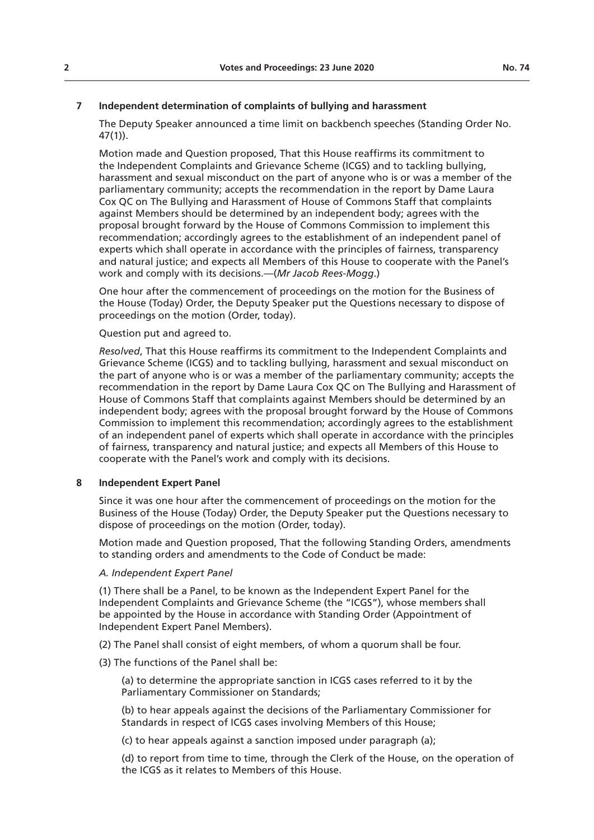## **7 Independent determination of complaints of bullying and harassment**

The Deputy Speaker announced a time limit on backbench speeches (Standing Order No. 47(1)).

Motion made and Question proposed, That this House reaffirms its commitment to the Independent Complaints and Grievance Scheme (ICGS) and to tackling bullying, harassment and sexual misconduct on the part of anyone who is or was a member of the parliamentary community; accepts the recommendation in the report by Dame Laura Cox QC on The Bullying and Harassment of House of Commons Staff that complaints against Members should be determined by an independent body; agrees with the proposal brought forward by the House of Commons Commission to implement this recommendation; accordingly agrees to the establishment of an independent panel of experts which shall operate in accordance with the principles of fairness, transparency and natural justice; and expects all Members of this House to cooperate with the Panel's work and comply with its decisions.—(*Mr Jacob Rees-Mogg*.)

One hour after the commencement of proceedings on the motion for the Business of the House (Today) Order, the Deputy Speaker put the Questions necessary to dispose of proceedings on the motion (Order, today).

#### Question put and agreed to.

*Resolved*, That this House reaffirms its commitment to the Independent Complaints and Grievance Scheme (ICGS) and to tackling bullying, harassment and sexual misconduct on the part of anyone who is or was a member of the parliamentary community; accepts the recommendation in the report by Dame Laura Cox QC on The Bullying and Harassment of House of Commons Staff that complaints against Members should be determined by an independent body; agrees with the proposal brought forward by the House of Commons Commission to implement this recommendation; accordingly agrees to the establishment of an independent panel of experts which shall operate in accordance with the principles of fairness, transparency and natural justice; and expects all Members of this House to cooperate with the Panel's work and comply with its decisions.

#### **8 Independent Expert Panel**

Since it was one hour after the commencement of proceedings on the motion for the Business of the House (Today) Order, the Deputy Speaker put the Questions necessary to dispose of proceedings on the motion (Order, today).

Motion made and Question proposed, That the following Standing Orders, amendments to standing orders and amendments to the Code of Conduct be made:

## *A. Independent Expert Panel*

(1) There shall be a Panel, to be known as the Independent Expert Panel for the Independent Complaints and Grievance Scheme (the "ICGS"), whose members shall be appointed by the House in accordance with Standing Order (Appointment of Independent Expert Panel Members).

- (2) The Panel shall consist of eight members, of whom a quorum shall be four.
- (3) The functions of the Panel shall be:

(a) to determine the appropriate sanction in ICGS cases referred to it by the Parliamentary Commissioner on Standards;

(b) to hear appeals against the decisions of the Parliamentary Commissioner for Standards in respect of ICGS cases involving Members of this House;

(c) to hear appeals against a sanction imposed under paragraph (a);

(d) to report from time to time, through the Clerk of the House, on the operation of the ICGS as it relates to Members of this House.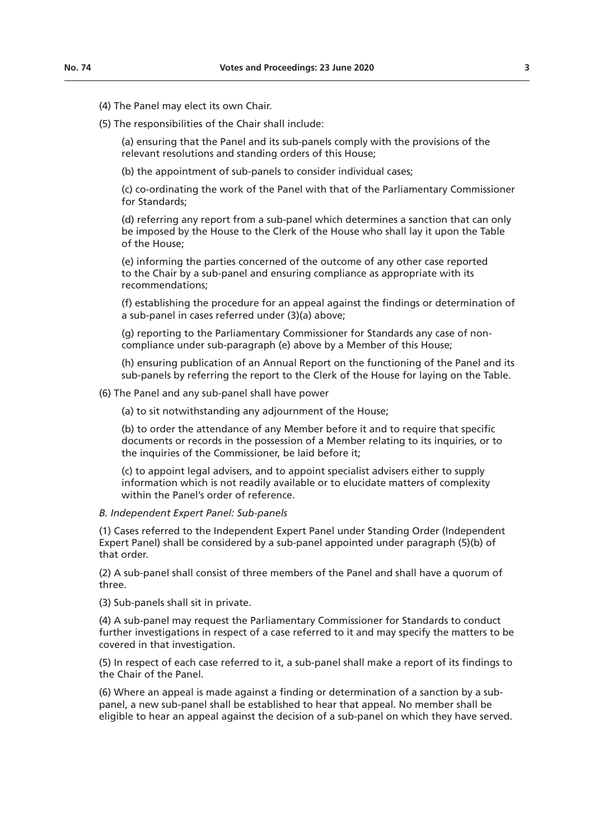(4) The Panel may elect its own Chair.

(5) The responsibilities of the Chair shall include:

(a) ensuring that the Panel and its sub-panels comply with the provisions of the relevant resolutions and standing orders of this House;

(b) the appointment of sub-panels to consider individual cases;

(c) co-ordinating the work of the Panel with that of the Parliamentary Commissioner for Standards;

(d) referring any report from a sub-panel which determines a sanction that can only be imposed by the House to the Clerk of the House who shall lay it upon the Table of the House;

(e) informing the parties concerned of the outcome of any other case reported to the Chair by a sub-panel and ensuring compliance as appropriate with its recommendations;

(f) establishing the procedure for an appeal against the findings or determination of a sub-panel in cases referred under (3)(a) above;

(g) reporting to the Parliamentary Commissioner for Standards any case of noncompliance under sub-paragraph (e) above by a Member of this House;

(h) ensuring publication of an Annual Report on the functioning of the Panel and its sub-panels by referring the report to the Clerk of the House for laying on the Table.

(6) The Panel and any sub-panel shall have power

(a) to sit notwithstanding any adjournment of the House;

(b) to order the attendance of any Member before it and to require that specific documents or records in the possession of a Member relating to its inquiries, or to the inquiries of the Commissioner, be laid before it;

(c) to appoint legal advisers, and to appoint specialist advisers either to supply information which is not readily available or to elucidate matters of complexity within the Panel's order of reference

#### *B. Independent Expert Panel: Sub-panels*

(1) Cases referred to the Independent Expert Panel under Standing Order (Independent Expert Panel) shall be considered by a sub-panel appointed under paragraph (5)(b) of that order.

(2) A sub-panel shall consist of three members of the Panel and shall have a quorum of three.

(3) Sub-panels shall sit in private.

(4) A sub-panel may request the Parliamentary Commissioner for Standards to conduct further investigations in respect of a case referred to it and may specify the matters to be covered in that investigation.

(5) In respect of each case referred to it, a sub-panel shall make a report of its findings to the Chair of the Panel.

(6) Where an appeal is made against a finding or determination of a sanction by a subpanel, a new sub-panel shall be established to hear that appeal. No member shall be eligible to hear an appeal against the decision of a sub-panel on which they have served.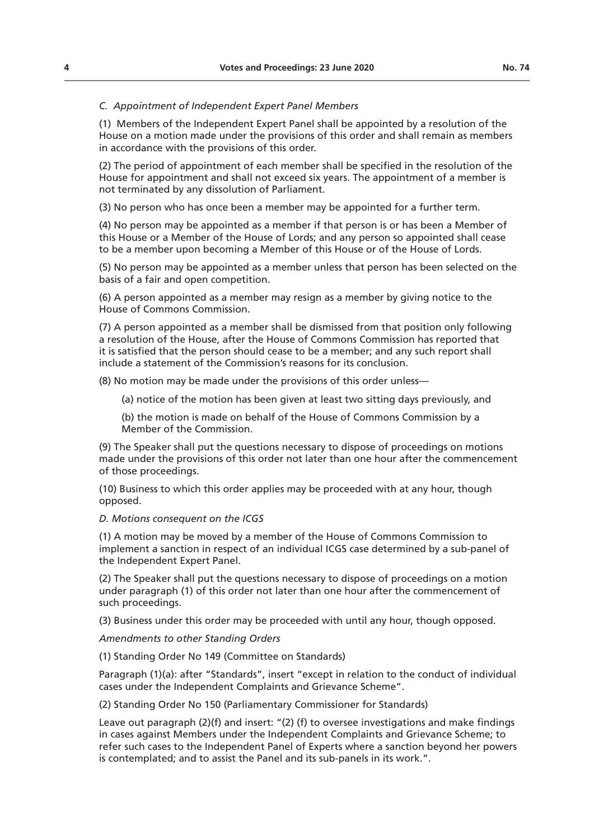#### *C. Appointment of Independent Expert Panel Members*

(1) Members of the Independent Expert Panel shall be appointed by a resolution of the House on a motion made under the provisions of this order and shall remain as members in accordance with the provisions of this order.

(2) The period of appointment of each member shall be specified in the resolution of the House for appointment and shall not exceed six years. The appointment of a member is not terminated by any dissolution of Parliament.

(3) No person who has once been a member may be appointed for a further term.

(4) No person may be appointed as a member if that person is or has been a Member of this House or a Member of the House of Lords; and any person so appointed shall cease to be a member upon becoming a Member of this House or of the House of Lords.

(5) No person may be appointed as a member unless that person has been selected on the basis of a fair and open competition.

(6) A person appointed as a member may resign as a member by giving notice to the House of Commons Commission.

(7) A person appointed as a member shall be dismissed from that position only following a resolution of the House, after the House of Commons Commission has reported that it is satisfied that the person should cease to be a member; and any such report shall include a statement of the Commission's reasons for its conclusion.

(8) No motion may be made under the provisions of this order unless—

(a) notice of the motion has been given at least two sitting days previously, and

(b) the motion is made on behalf of the House of Commons Commission by a Member of the Commission.

(9) The Speaker shall put the questions necessary to dispose of proceedings on motions made under the provisions of this order not later than one hour after the commencement of those proceedings.

(10) Business to which this order applies may be proceeded with at any hour, though opposed.

#### *D. Motions consequent on the ICGS*

(1) A motion may be moved by a member of the House of Commons Commission to implement a sanction in respect of an individual ICGS case determined by a sub-panel of the Independent Expert Panel.

(2) The Speaker shall put the questions necessary to dispose of proceedings on a motion under paragraph (1) of this order not later than one hour after the commencement of such proceedings.

(3) Business under this order may be proceeded with until any hour, though opposed.

*Amendments to other Standing Orders*

(1) Standing Order No 149 (Committee on Standards)

Paragraph (1)(a): after "Standards", insert "except in relation to the conduct of individual cases under the Independent Complaints and Grievance Scheme".

(2) Standing Order No 150 (Parliamentary Commissioner for Standards)

Leave out paragraph (2)(f) and insert: "(2) (f) to oversee investigations and make findings in cases against Members under the Independent Complaints and Grievance Scheme; to refer such cases to the Independent Panel of Experts where a sanction beyond her powers is contemplated; and to assist the Panel and its sub-panels in its work.".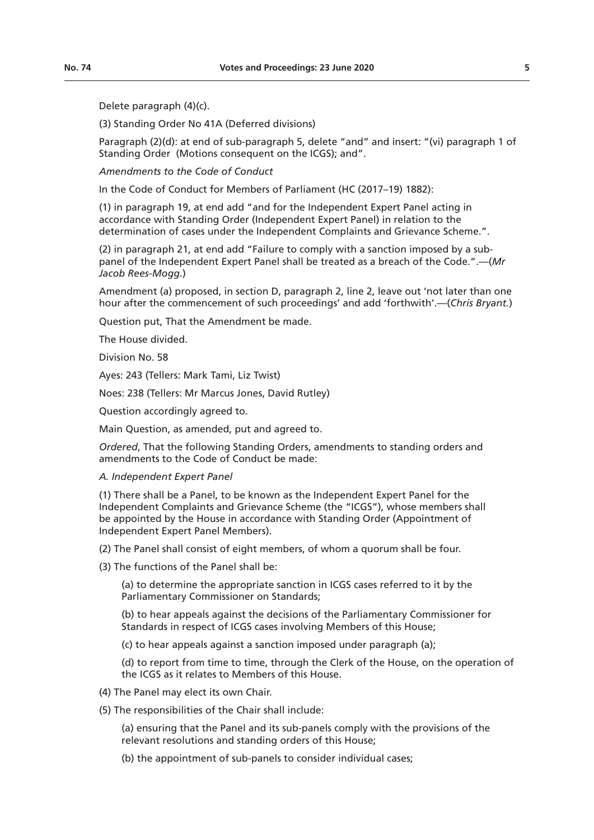Delete paragraph (4)(c).

(3) Standing Order No 41A (Deferred divisions)

Paragraph (2)(d): at end of sub-paragraph 5, delete "and" and insert: "(vi) paragraph 1 of Standing Order (Motions consequent on the ICGS); and".

*Amendments to the Code of Conduct*

In the Code of Conduct for Members of Parliament (HC (2017–19) 1882):

(1) in paragraph 19, at end add "and for the Independent Expert Panel acting in accordance with Standing Order (Independent Expert Panel) in relation to the determination of cases under the Independent Complaints and Grievance Scheme.".

(2) in paragraph 21, at end add "Failure to comply with a sanction imposed by a subpanel of the Independent Expert Panel shall be treated as a breach of the Code.".—(*Mr Jacob Rees-Mogg.*)

Amendment (a) proposed, in section D, paragraph 2, line 2, leave out 'not later than one hour after the commencement of such proceedings' and add 'forthwith'.—(*Chris Bryant.*)

Question put, That the Amendment be made.

The House divided.

Division No. 58

Ayes: 243 (Tellers: Mark Tami, Liz Twist)

Noes: 238 (Tellers: Mr Marcus Jones, David Rutley)

Question accordingly agreed to.

Main Question, as amended, put and agreed to.

*Ordered*, That the following Standing Orders, amendments to standing orders and amendments to the Code of Conduct be made:

#### *A. Independent Expert Panel*

(1) There shall be a Panel, to be known as the Independent Expert Panel for the Independent Complaints and Grievance Scheme (the "ICGS"), whose members shall be appointed by the House in accordance with Standing Order (Appointment of Independent Expert Panel Members).

(2) The Panel shall consist of eight members, of whom a quorum shall be four.

(3) The functions of the Panel shall be:

(a) to determine the appropriate sanction in ICGS cases referred to it by the Parliamentary Commissioner on Standards;

(b) to hear appeals against the decisions of the Parliamentary Commissioner for Standards in respect of ICGS cases involving Members of this House;

(c) to hear appeals against a sanction imposed under paragraph (a);

(d) to report from time to time, through the Clerk of the House, on the operation of the ICGS as it relates to Members of this House.

(4) The Panel may elect its own Chair.

(5) The responsibilities of the Chair shall include:

(a) ensuring that the Panel and its sub-panels comply with the provisions of the relevant resolutions and standing orders of this House;

(b) the appointment of sub-panels to consider individual cases;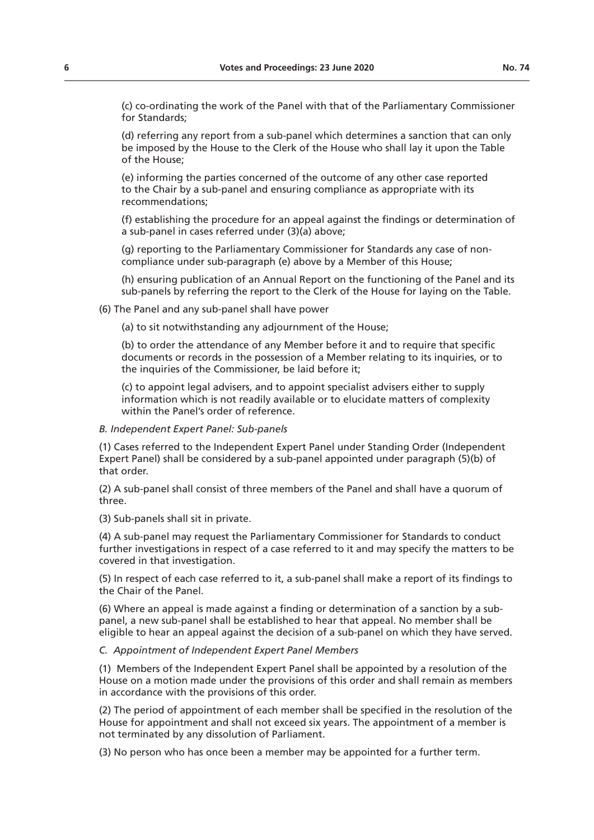(c) co-ordinating the work of the Panel with that of the Parliamentary Commissioner for Standards;

(d) referring any report from a sub-panel which determines a sanction that can only be imposed by the House to the Clerk of the House who shall lay it upon the Table of the House;

(e) informing the parties concerned of the outcome of any other case reported to the Chair by a sub-panel and ensuring compliance as appropriate with its recommendations;

(f) establishing the procedure for an appeal against the findings or determination of a sub-panel in cases referred under (3)(a) above;

(g) reporting to the Parliamentary Commissioner for Standards any case of noncompliance under sub-paragraph (e) above by a Member of this House;

(h) ensuring publication of an Annual Report on the functioning of the Panel and its sub-panels by referring the report to the Clerk of the House for laying on the Table.

(6) The Panel and any sub-panel shall have power

(a) to sit notwithstanding any adjournment of the House;

(b) to order the attendance of any Member before it and to require that specific documents or records in the possession of a Member relating to its inquiries, or to the inquiries of the Commissioner, be laid before it;

(c) to appoint legal advisers, and to appoint specialist advisers either to supply information which is not readily available or to elucidate matters of complexity within the Panel's order of reference.

#### *B. Independent Expert Panel: Sub-panels*

(1) Cases referred to the Independent Expert Panel under Standing Order (Independent Expert Panel) shall be considered by a sub-panel appointed under paragraph (5)(b) of that order.

(2) A sub-panel shall consist of three members of the Panel and shall have a quorum of three.

(3) Sub-panels shall sit in private.

(4) A sub-panel may request the Parliamentary Commissioner for Standards to conduct further investigations in respect of a case referred to it and may specify the matters to be covered in that investigation.

(5) In respect of each case referred to it, a sub-panel shall make a report of its findings to the Chair of the Panel.

(6) Where an appeal is made against a finding or determination of a sanction by a subpanel, a new sub-panel shall be established to hear that appeal. No member shall be eligible to hear an appeal against the decision of a sub-panel on which they have served.

## *C. Appointment of Independent Expert Panel Members*

(1) Members of the Independent Expert Panel shall be appointed by a resolution of the House on a motion made under the provisions of this order and shall remain as members in accordance with the provisions of this order.

(2) The period of appointment of each member shall be specified in the resolution of the House for appointment and shall not exceed six years. The appointment of a member is not terminated by any dissolution of Parliament.

(3) No person who has once been a member may be appointed for a further term.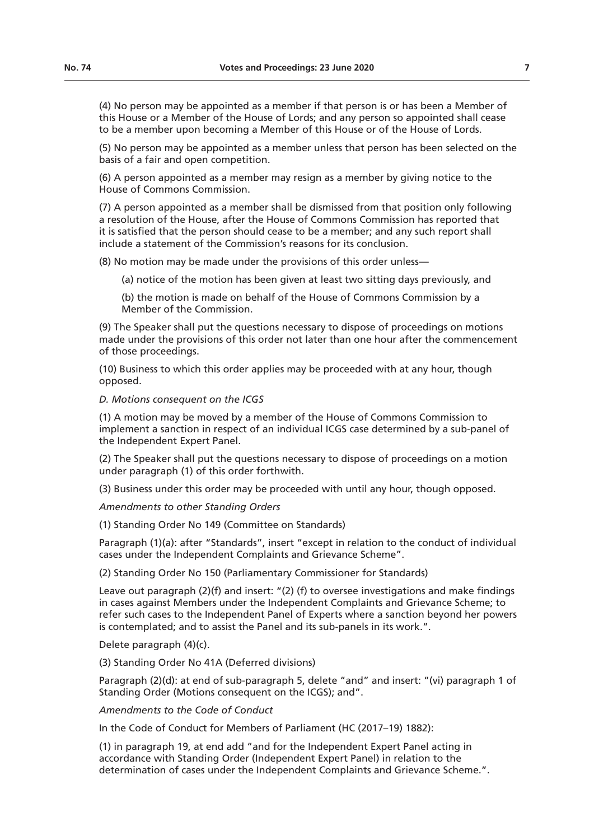(4) No person may be appointed as a member if that person is or has been a Member of this House or a Member of the House of Lords; and any person so appointed shall cease to be a member upon becoming a Member of this House or of the House of Lords.

(5) No person may be appointed as a member unless that person has been selected on the basis of a fair and open competition.

(6) A person appointed as a member may resign as a member by giving notice to the House of Commons Commission.

(7) A person appointed as a member shall be dismissed from that position only following a resolution of the House, after the House of Commons Commission has reported that it is satisfied that the person should cease to be a member; and any such report shall include a statement of the Commission's reasons for its conclusion.

(8) No motion may be made under the provisions of this order unless—

(a) notice of the motion has been given at least two sitting days previously, and

(b) the motion is made on behalf of the House of Commons Commission by a Member of the Commission.

(9) The Speaker shall put the questions necessary to dispose of proceedings on motions made under the provisions of this order not later than one hour after the commencement of those proceedings.

(10) Business to which this order applies may be proceeded with at any hour, though opposed.

*D. Motions consequent on the ICGS*

(1) A motion may be moved by a member of the House of Commons Commission to implement a sanction in respect of an individual ICGS case determined by a sub-panel of the Independent Expert Panel.

(2) The Speaker shall put the questions necessary to dispose of proceedings on a motion under paragraph (1) of this order forthwith.

(3) Business under this order may be proceeded with until any hour, though opposed.

*Amendments to other Standing Orders*

(1) Standing Order No 149 (Committee on Standards)

Paragraph (1)(a): after "Standards", insert "except in relation to the conduct of individual cases under the Independent Complaints and Grievance Scheme".

(2) Standing Order No 150 (Parliamentary Commissioner for Standards)

Leave out paragraph (2)(f) and insert: "(2) (f) to oversee investigations and make findings in cases against Members under the Independent Complaints and Grievance Scheme; to refer such cases to the Independent Panel of Experts where a sanction beyond her powers is contemplated; and to assist the Panel and its sub-panels in its work.".

Delete paragraph (4)(c).

(3) Standing Order No 41A (Deferred divisions)

Paragraph (2)(d): at end of sub-paragraph 5, delete "and" and insert: "(vi) paragraph 1 of Standing Order (Motions consequent on the ICGS); and".

*Amendments to the Code of Conduct*

In the Code of Conduct for Members of Parliament (HC (2017–19) 1882):

(1) in paragraph 19, at end add "and for the Independent Expert Panel acting in accordance with Standing Order (Independent Expert Panel) in relation to the determination of cases under the Independent Complaints and Grievance Scheme.".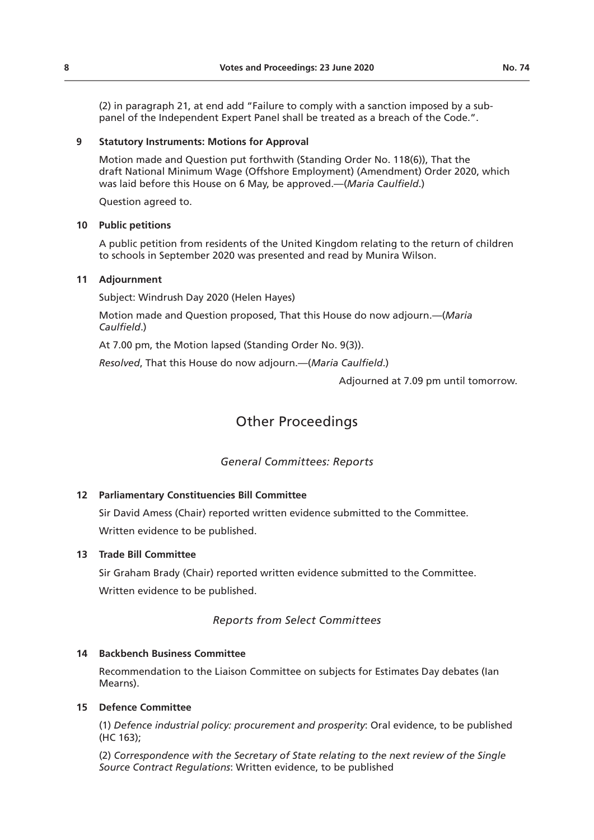(2) in paragraph 21, at end add "Failure to comply with a sanction imposed by a subpanel of the Independent Expert Panel shall be treated as a breach of the Code.".

### **9 Statutory Instruments: Motions for Approval**

Motion made and Question put forthwith (Standing Order No. 118(6)), That the draft National Minimum Wage (Offshore Employment) (Amendment) Order 2020, which was laid before this House on 6 May, be approved.—(*Maria Caulfield*.)

Question agreed to.

### **10 Public petitions**

A public petition from residents of the United Kingdom relating to the return of children to schools in September 2020 was presented and read by Munira Wilson.

## **11 Adjournment**

Subject: Windrush Day 2020 (Helen Hayes)

Motion made and Question proposed, That this House do now adjourn.—(*Maria Caulfield*.)

At 7.00 pm, the Motion lapsed (Standing Order No. 9(3)).

*Resolved*, That this House do now adjourn.—(*Maria Caulfield*.)

Adjourned at 7.09 pm until tomorrow.

## Other Proceedings

## *General Committees: Reports*

## **12 Parliamentary Constituencies Bill Committee**

Sir David Amess (Chair) reported written evidence submitted to the Committee. Written evidence to be published.

## **13 Trade Bill Committee**

Sir Graham Brady (Chair) reported written evidence submitted to the Committee. Written evidence to be published.

## *Reports from Select Committees*

## **14 Backbench Business Committee**

Recommendation to the Liaison Committee on subjects for Estimates Day debates (Ian Mearns).

## **15 Defence Committee**

(1) *Defence industrial policy: procurement and prosperity*: Oral evidence, to be published (HC 163);

(2) *Correspondence with the Secretary of State relating to the next review of the Single Source Contract Regulations*: Written evidence, to be published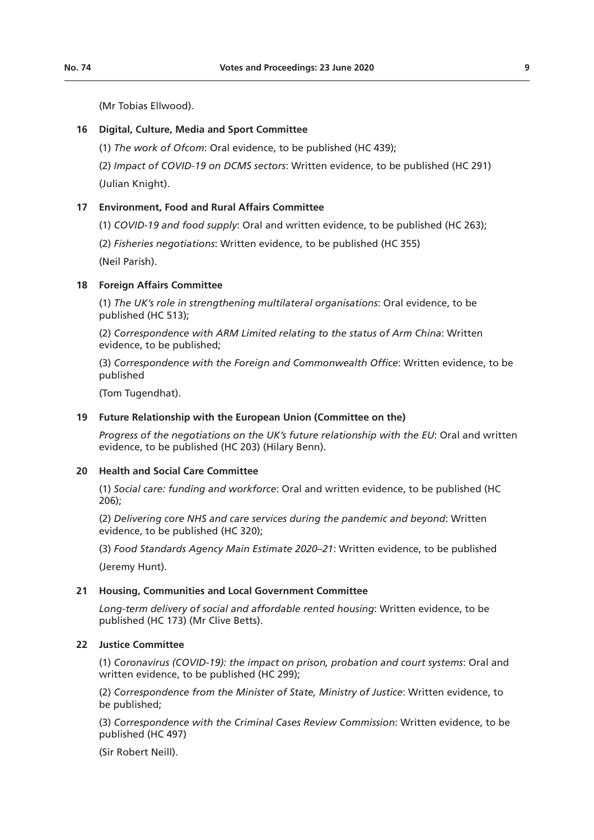(Mr Tobias Ellwood).

## **16 Digital, Culture, Media and Sport Committee**

(1) *The work of Ofcom*: Oral evidence, to be published (HC 439);

(2) *Impact of COVID-19 on DCMS sectors*: Written evidence, to be published (HC 291) (Julian Knight).

## **17 Environment, Food and Rural Affairs Committee**

(1) *COVID-19 and food supply*: Oral and written evidence, to be published (HC 263);

(2) *Fisheries negotiations*: Written evidence, to be published (HC 355)

(Neil Parish).

#### **18 Foreign Affairs Committee**

(1) *The UK's role in strengthening multilateral organisations*: Oral evidence, to be published (HC 513);

(2) *Correspondence with ARM Limited relating to the status of Arm China*: Written evidence, to be published;

(3) *Correspondence with the Foreign and Commonwealth Office*: Written evidence, to be published

(Tom Tugendhat).

#### **19 Future Relationship with the European Union (Committee on the)**

*Progress of the negotiations on the UK's future relationship with the EU*: Oral and written evidence, to be published (HC 203) (Hilary Benn).

#### **20 Health and Social Care Committee**

(1) *Social care: funding and workforce*: Oral and written evidence, to be published (HC 206);

(2) *Delivering core NHS and care services during the pandemic and beyond*: Written evidence, to be published (HC 320);

(3) *Food Standards Agency Main Estimate 2020–21*: Written evidence, to be published (Jeremy Hunt).

#### **21 Housing, Communities and Local Government Committee**

*Long-term delivery of social and affordable rented housing*: Written evidence, to be published (HC 173) (Mr Clive Betts).

#### **22 Justice Committee**

(1) *Coronavirus (COVID-19): the impact on prison, probation and court systems*: Oral and written evidence, to be published (HC 299);

(2) *Correspondence from the Minister of State, Ministry of Justice*: Written evidence, to be published;

(3) *Correspondence with the Criminal Cases Review Commission*: Written evidence, to be published (HC 497)

(Sir Robert Neill).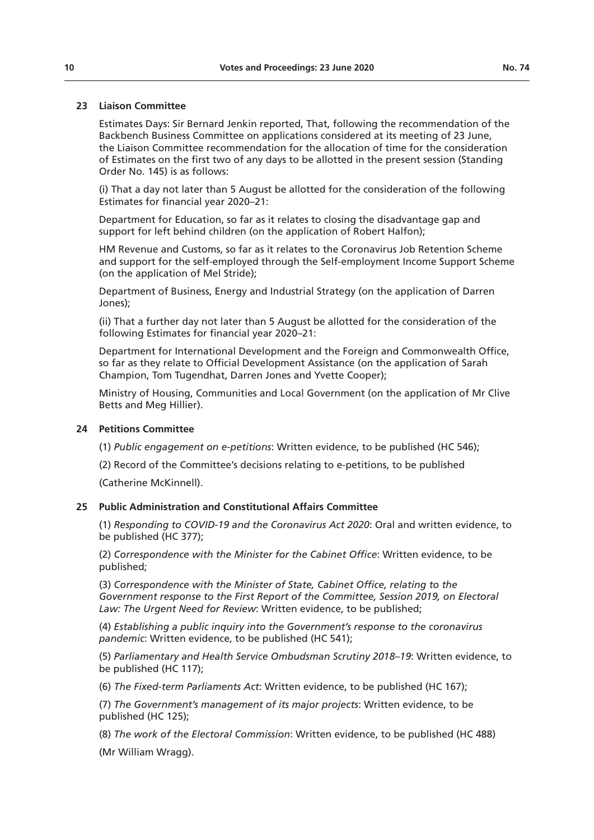## **23 Liaison Committee**

Estimates Days: Sir Bernard Jenkin reported, That, following the recommendation of the Backbench Business Committee on applications considered at its meeting of 23 June, the Liaison Committee recommendation for the allocation of time for the consideration of Estimates on the first two of any days to be allotted in the present session (Standing Order No. 145) is as follows:

(i) That a day not later than 5 August be allotted for the consideration of the following Estimates for financial year 2020–21:

Department for Education, so far as it relates to closing the disadvantage gap and support for left behind children (on the application of Robert Halfon);

HM Revenue and Customs, so far as it relates to the Coronavirus Job Retention Scheme and support for the self-employed through the Self-employment Income Support Scheme (on the application of Mel Stride);

Department of Business, Energy and Industrial Strategy (on the application of Darren Jones);

(ii) That a further day not later than 5 August be allotted for the consideration of the following Estimates for financial year 2020–21:

Department for International Development and the Foreign and Commonwealth Office, so far as they relate to Official Development Assistance (on the application of Sarah Champion, Tom Tugendhat, Darren Jones and Yvette Cooper);

Ministry of Housing, Communities and Local Government (on the application of Mr Clive Betts and Meg Hillier).

#### **24 Petitions Committee**

(1) *Public engagement on e-petitions*: Written evidence, to be published (HC 546);

(2) Record of the Committee's decisions relating to e-petitions, to be published

(Catherine McKinnell).

#### **25 Public Administration and Constitutional Affairs Committee**

(1) *Responding to COVID-19 and the Coronavirus Act 2020*: Oral and written evidence, to be published (HC 377);

(2) *Correspondence with the Minister for the Cabinet Office*: Written evidence, to be published;

(3) *Correspondence with the Minister of State, Cabinet Office, relating to the Government response to the First Report of the Committee, Session 2019, on Electoral Law: The Urgent Need for Review*: Written evidence, to be published;

(4) *Establishing a public inquiry into the Government's response to the coronavirus pandemic*: Written evidence, to be published (HC 541);

(5) *Parliamentary and Health Service Ombudsman Scrutiny 2018–19*: Written evidence, to be published (HC 117);

(6) *The Fixed-term Parliaments Act*: Written evidence, to be published (HC 167);

(7) *The Government's management of its major projects*: Written evidence, to be published (HC 125);

(8) *The work of the Electoral Commission*: Written evidence, to be published (HC 488)

(Mr William Wragg).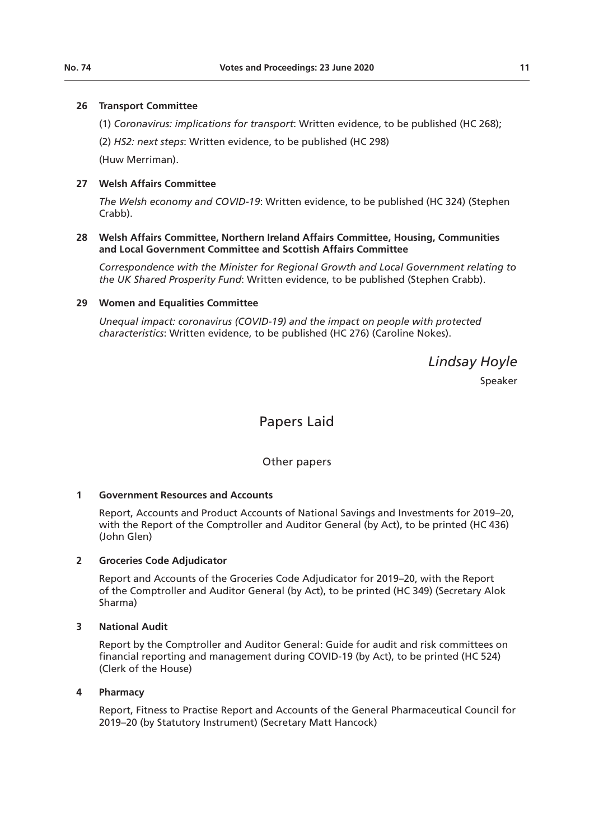#### **26 Transport Committee**

(1) *Coronavirus: implications for transport*: Written evidence, to be published (HC 268);

(2) *HS2: next steps*: Written evidence, to be published (HC 298)

(Huw Merriman).

## **27 Welsh Affairs Committee**

*The Welsh economy and COVID-19*: Written evidence, to be published (HC 324) (Stephen Crabb).

#### **28 Welsh Affairs Committee, Northern Ireland Affairs Committee, Housing, Communities and Local Government Committee and Scottish Affairs Committee**

*Correspondence with the Minister for Regional Growth and Local Government relating to the UK Shared Prosperity Fund*: Written evidence, to be published (Stephen Crabb).

#### **29 Women and Equalities Committee**

*Unequal impact: coronavirus (COVID-19) and the impact on people with protected characteristics*: Written evidence, to be published (HC 276) (Caroline Nokes).

*Lindsay Hoyle*

Speaker

## Papers Laid

Other papers

#### **1 Government Resources and Accounts**

Report, Accounts and Product Accounts of National Savings and Investments for 2019–20, with the Report of the Comptroller and Auditor General (by Act), to be printed (HC 436) (John Glen)

#### **2 Groceries Code Adjudicator**

Report and Accounts of the Groceries Code Adjudicator for 2019–20, with the Report of the Comptroller and Auditor General (by Act), to be printed (HC 349) (Secretary Alok Sharma)

#### **3 National Audit**

Report by the Comptroller and Auditor General: Guide for audit and risk committees on financial reporting and management during COVID-19 (by Act), to be printed (HC 524) (Clerk of the House)

#### **4 Pharmacy**

Report, Fitness to Practise Report and Accounts of the General Pharmaceutical Council for 2019–20 (by Statutory Instrument) (Secretary Matt Hancock)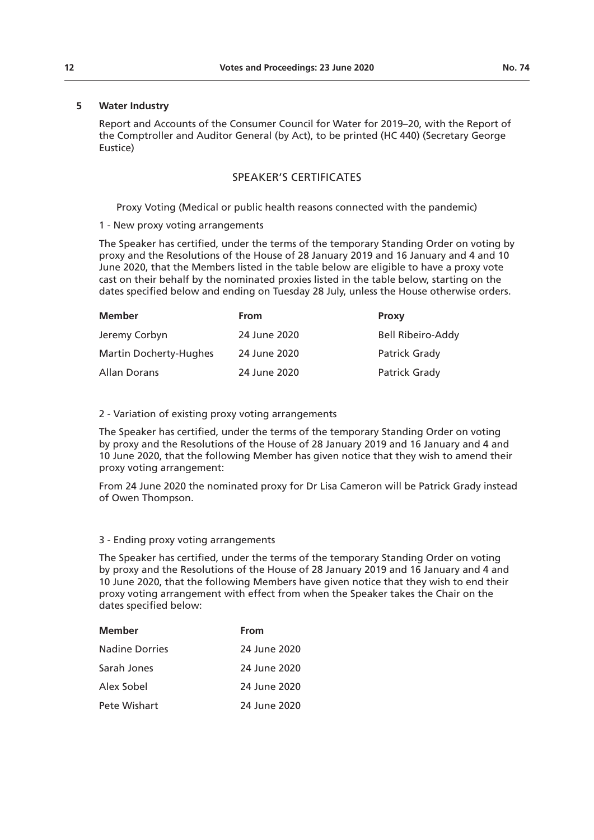#### **12 Votes and Proceedings: 23 June 2020 No. 74**

## **5 Water Industry**

Report and Accounts of the Consumer Council for Water for 2019–20, with the Report of the Comptroller and Auditor General (by Act), to be printed (HC 440) (Secretary George Eustice)

## SPEAKER'S CERTIFICATES

Proxy Voting (Medical or public health reasons connected with the pandemic)

### 1 - New proxy voting arrangements

The Speaker has certified, under the terms of the temporary Standing Order on voting by proxy and the Resolutions of the House of 28 January 2019 and 16 January and 4 and 10 June 2020, that the Members listed in the table below are eligible to have a proxy vote cast on their behalf by the nominated proxies listed in the table below, starting on the dates specified below and ending on Tuesday 28 July, unless the House otherwise orders.

| <b>Member</b>                 | From         | <b>Proxy</b>             |
|-------------------------------|--------------|--------------------------|
| Jeremy Corbyn                 | 24 June 2020 | <b>Bell Ribeiro-Addy</b> |
| <b>Martin Docherty-Hughes</b> | 24 June 2020 | Patrick Grady            |
| Allan Dorans                  | 24 June 2020 | Patrick Grady            |

#### 2 - Variation of existing proxy voting arrangements

The Speaker has certified, under the terms of the temporary Standing Order on voting by proxy and the Resolutions of the House of 28 January 2019 and 16 January and 4 and 10 June 2020, that the following Member has given notice that they wish to amend their proxy voting arrangement:

From 24 June 2020 the nominated proxy for Dr Lisa Cameron will be Patrick Grady instead of Owen Thompson.

#### 3 - Ending proxy voting arrangements

The Speaker has certified, under the terms of the temporary Standing Order on voting by proxy and the Resolutions of the House of 28 January 2019 and 16 January and 4 and 10 June 2020, that the following Members have given notice that they wish to end their proxy voting arrangement with effect from when the Speaker takes the Chair on the dates specified below:

| <b>Member</b>         | From         |
|-----------------------|--------------|
| <b>Nadine Dorries</b> | 24 June 2020 |
| Sarah Jones           | 24 June 2020 |
| Alex Sobel            | 24 June 2020 |
| Pete Wishart          | 24 June 2020 |